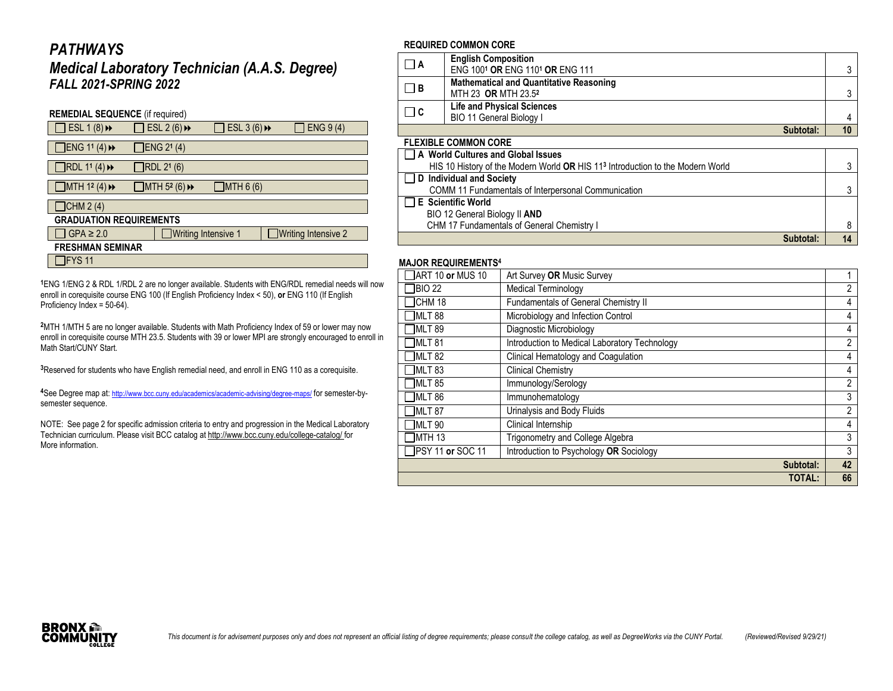# *PATHWAYS*

## *Medical Laboratory Technician (A.A.S. Degree) FALL 2021-SPRING 2022*

| <b>REMEDIAL SEQUENCE</b> (if required)         |  |                                                 |                           |  |                     |  |  |
|------------------------------------------------|--|-------------------------------------------------|---------------------------|--|---------------------|--|--|
| ESL $1(8)$ <sup><math>\rightarrow</math></sup> |  | ESL 2 $(6)$ <sup>+</sup>                        | ESL 3 $(6)$ $\rightarrow$ |  | <b>ENG 9 (4)</b>    |  |  |
| ]ENG 11 (4) →                                  |  | ENG 21 (4)                                      |                           |  |                     |  |  |
| RDL 11 (4)                                     |  | RDL 21 (6)                                      |                           |  |                     |  |  |
| MTH 1 <sup>2</sup> (4) $\rightarrow$           |  | $\Box$ MTH 5 <sup>2</sup> (6) $\leftrightarrow$ | ]MTH 6 (6)                |  |                     |  |  |
| JCHM 2(4)                                      |  |                                                 |                           |  |                     |  |  |
| <b>GRADUATION REQUIREMENTS</b>                 |  |                                                 |                           |  |                     |  |  |
| $GPA \geq 2.0$                                 |  | Writing Intensive 1                             |                           |  | Writing Intensive 2 |  |  |
| <b>FRESHMAN SEMINAR</b>                        |  |                                                 |                           |  |                     |  |  |
| IFYS 11                                        |  |                                                 |                           |  |                     |  |  |

**<sup>1</sup>**ENG 1/ENG 2 & RDL 1/RDL 2 are no longer available. Students with ENG/RDL remedial needs will now enroll in corequisite course ENG 100 (If English Proficiency Index < 50), **or** ENG 110 (If English Proficiency Index = 50-64).

**<sup>2</sup>**MTH 1/MTH 5 are no longer available. Students with Math Proficiency Index of 59 or lower may now enroll in corequisite course MTH 23.5. Students with 39 or lower MPI are strongly encouraged to enroll in Math Start/CUNY Start

**<sup>3</sup>**Reserved for students who have English remedial need, and enroll in ENG 110 as a corequisite.

**<sup>4</sup>**See Degree map at: <http://www.bcc.cuny.edu/academics/academic-advising/degree-maps/> for semester-bysemester sequence.

NOTE: See page 2 for specific admission criteria to entry and progression in the Medical Laboratory Technician curriculum. Please visit BCC catalog at <http://www.bcc.cuny.edu/college-catalog/> for More information.

## **REQUIRED COMMON CORE**

| ΠA    | <b>English Composition</b><br>ENG 1001 OR ENG 1101 OR ENG 111                     |  |
|-------|-----------------------------------------------------------------------------------|--|
| - I B | <b>Mathematical and Quantitative Reasoning</b><br>MTH 23 OR MTH 23.5 <sup>2</sup> |  |
| Πc    | <b>Life and Physical Sciences</b><br><b>BIO 11 General Biology I</b>              |  |
|       | Subtotal:                                                                         |  |

#### **FLEXIBLE COMMON CORE**

| A World Cultures and Global Issues                                                         |  |
|--------------------------------------------------------------------------------------------|--|
| HIS 10 History of the Modern World OR HIS 11 <sup>3</sup> Introduction to the Modern World |  |
| D Individual and Society                                                                   |  |
| COMM 11 Fundamentals of Interpersonal Communication                                        |  |
| $\Box$ E Scientific World                                                                  |  |
| BIO 12 General Biology II AND                                                              |  |
| CHM 17 Fundamentals of General Chemistry I                                                 |  |
| Suhtotal <sup>.</sup>                                                                      |  |

## **MAJOR REQUIREMENTS<sup>4</sup>**

| <b>MAJUR REWUIREMENTJ</b>              |                                               |                |
|----------------------------------------|-----------------------------------------------|----------------|
| $\overline{\text{I}}$ ART 10 or MUS 10 | Art Survey OR Music Survey                    |                |
| BIO 22                                 | <b>Medical Terminology</b>                    | $\overline{2}$ |
| CHM 18                                 | Fundamentals of General Chemistry II          | 4              |
| MLT <sub>88</sub>                      | Microbiology and Infection Control            | 4              |
| MLT <sub>89</sub>                      | Diagnostic Microbiology                       | 4              |
| MLT <sub>81</sub>                      | Introduction to Medical Laboratory Technology | $\overline{2}$ |
| <b>MLT 82</b>                          | Clinical Hematology and Coagulation           | 4              |
| MLT <sub>83</sub>                      | <b>Clinical Chemistry</b>                     | 4              |
| <b>MLT 85</b>                          | Immunology/Serology                           | $\overline{2}$ |
| <b>MLT 86</b>                          | Immunohematology                              | 3              |
| <b>MLT 87</b>                          | Urinalysis and Body Fluids                    | 2              |
| <b>MLT 90</b>                          | Clinical Internship                           | 4              |
| MTH <sub>13</sub>                      | <b>Trigonometry and College Algebra</b>       | 3              |
| <b>IPSY 11 or SOC 11</b>               | Introduction to Psychology OR Sociology       | 3              |
|                                        | Subtotal:                                     | 42             |
|                                        | <b>TOTAL:</b>                                 | 66             |